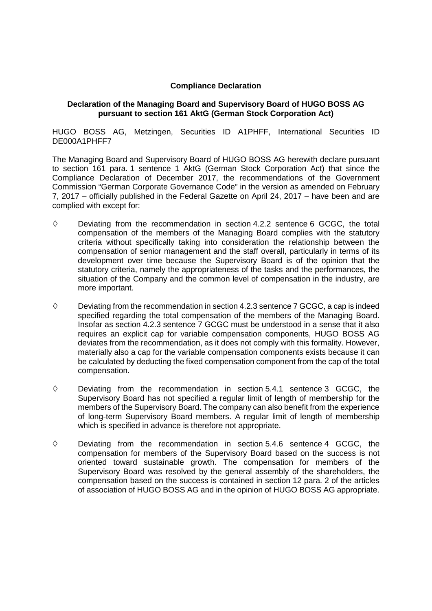## **Compliance Declaration**

## **Declaration of the Managing Board and Supervisory Board of HUGO BOSS AG pursuant to section 161 AktG (German Stock Corporation Act)**

HUGO BOSS AG, Metzingen, Securities ID A1PHFF, International Securities ID DE000A1PHFF7

The Managing Board and Supervisory Board of HUGO BOSS AG herewith declare pursuant to section 161 para. 1 sentence 1 AktG (German Stock Corporation Act) that since the Compliance Declaration of December 2017, the recommendations of the Government Commission "German Corporate Governance Code" in the version as amended on February 7, 2017 – officially published in the Federal Gazette on April 24, 2017 – have been and are complied with except for:

- $\diamond$  Deviating from the recommendation in section 4.2.2 sentence 6 GCGC, the total compensation of the members of the Managing Board complies with the statutory criteria without specifically taking into consideration the relationship between the compensation of senior management and the staff overall, particularly in terms of its development over time because the Supervisory Board is of the opinion that the statutory criteria, namely the appropriateness of the tasks and the performances, the situation of the Company and the common level of compensation in the industry, are more important.
- $\diamond$  Deviating from the recommendation in section 4.2.3 sentence 7 GCGC, a cap is indeed specified regarding the total compensation of the members of the Managing Board. Insofar as section 4.2.3 sentence 7 GCGC must be understood in a sense that it also requires an explicit cap for variable compensation components, HUGO BOSS AG deviates from the recommendation, as it does not comply with this formality. However, materially also a cap for the variable compensation components exists because it can be calculated by deducting the fixed compensation component from the cap of the total compensation.
- $\diamond$  Deviating from the recommendation in section 5.4.1 sentence 3 GCGC, the Supervisory Board has not specified a regular limit of length of membership for the members of the Supervisory Board. The company can also benefit from the experience of long-term Supervisory Board members. A regular limit of length of membership which is specified in advance is therefore not appropriate.
- $\diamond$  Deviating from the recommendation in section 5.4.6 sentence 4 GCGC, the compensation for members of the Supervisory Board based on the success is not oriented toward sustainable growth. The compensation for members of the Supervisory Board was resolved by the general assembly of the shareholders, the compensation based on the success is contained in section 12 para. 2 of the articles of association of HUGO BOSS AG and in the opinion of HUGO BOSS AG appropriate.